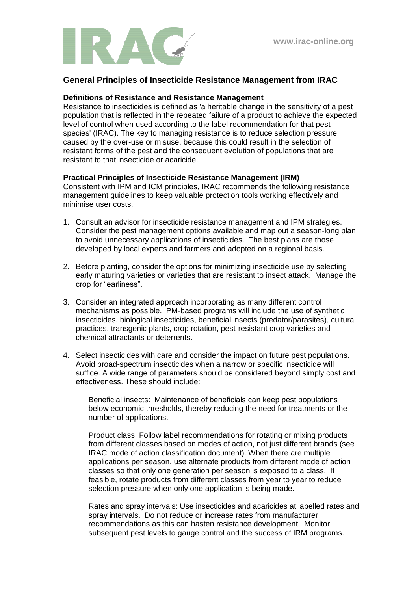

## **General Principles of Insecticide Resistance Management from IRAC**

## **Definitions of Resistance and Resistance Management**

Resistance to insecticides is defined as 'a heritable change in the sensitivity of a pest population that is reflected in the repeated failure of a product to achieve the expected level of control when used according to the label recommendation for that pest species' (IRAC). The key to managing resistance is to reduce selection pressure caused by the over-use or misuse, because this could result in the selection of resistant forms of the pest and the consequent evolution of populations that are resistant to that insecticide or acaricide.

## **Practical Principles of Insecticide Resistance Management (IRM)**

Consistent with IPM and ICM principles, IRAC recommends the following resistance management guidelines to keep valuable protection tools working effectively and minimise user costs.

- 1. Consult an advisor for insecticide resistance management and IPM strategies. Consider the pest management options available and map out a season-long plan to avoid unnecessary applications of insecticides. The best plans are those developed by local experts and farmers and adopted on a regional basis.
- 2. Before planting, consider the options for minimizing insecticide use by selecting early maturing varieties or varieties that are resistant to insect attack. Manage the crop for "earliness".
- 3. Consider an integrated approach incorporating as many different control mechanisms as possible. IPM-based programs will include the use of synthetic insecticides, biological insecticides, beneficial insects (predator/parasites), cultural practices, transgenic plants, crop rotation, pest-resistant crop varieties and chemical attractants or deterrents.
- 4. Select insecticides with care and consider the impact on future pest populations. Avoid broad-spectrum insecticides when a narrow or specific insecticide will suffice. A wide range of parameters should be considered beyond simply cost and effectiveness. These should include:

Beneficial insects: Maintenance of beneficials can keep pest populations below economic thresholds, thereby reducing the need for treatments or the number of applications.

Product class: Follow label recommendations for rotating or mixing products from different classes based on modes of action, not just different brands (see IRAC mode of action classification document). When there are multiple applications per season, use alternate products from different mode of action classes so that only one generation per season is exposed to a class. If feasible, rotate products from different classes from year to year to reduce selection pressure when only one application is being made.

Rates and spray intervals: Use insecticides and acaricides at labelled rates and spray intervals. Do not reduce or increase rates from manufacturer recommendations as this can hasten resistance development. Monitor subsequent pest levels to gauge control and the success of IRM programs.